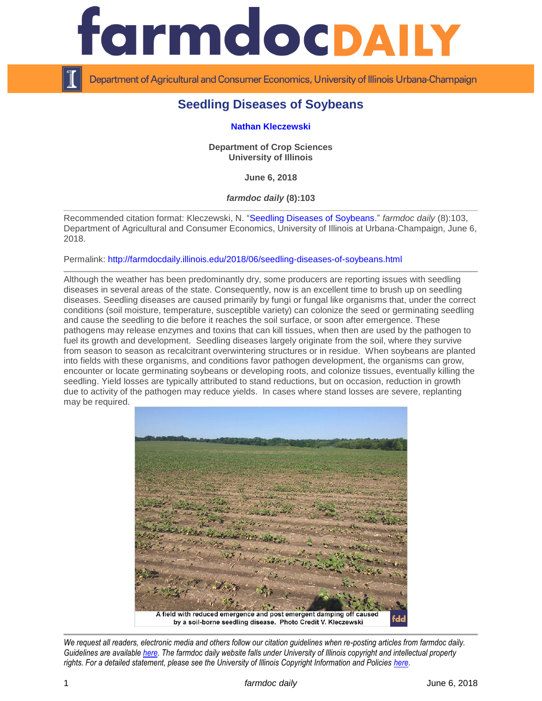

Department of Agricultural and Consumer Economics, University of Illinois Urbana-Champaign

# **Seedling Diseases of Soybeans**

## **[Nathan Kleczewski](https://cropsciences.illinois.edu/people/profile/nathank)**

**Department of Crop Sciences University of Illinois**

**June 6, 2018**

*farmdoc daily* **(8):103**

Recommended citation format: Kleczewski, N. ["Seedling Diseases of Soybeans.](http://farmdocdaily.illinois.edu/2018/06/seedling-diseases-of-soybeans.html)" *farmdoc daily* (8):103, Department of Agricultural and Consumer Economics, University of Illinois at Urbana-Champaign, June 6, 2018.

Permalink:<http://farmdocdaily.illinois.edu/2018/06/seedling-diseases-of-soybeans.html>

Although the weather has been predominantly dry, some producers are reporting issues with seedling diseases in several areas of the state. Consequently, now is an excellent time to brush up on seedling diseases. Seedling diseases are caused primarily by fungi or fungal like organisms that, under the correct conditions (soil moisture, temperature, susceptible variety) can colonize the seed or germinating seedling and cause the seedling to die before it reaches the soil surface, or soon after emergence. These pathogens may release enzymes and toxins that can kill tissues, when then are used by the pathogen to fuel its growth and development. Seedling diseases largely originate from the soil, where they survive from season to season as recalcitrant overwintering structures or in residue. When soybeans are planted into fields with these organisms, and conditions favor pathogen development, the organisms can grow, encounter or locate germinating soybeans or developing roots, and colonize tissues, eventually killing the seedling. Yield losses are typically attributed to stand reductions, but on occasion, reduction in growth due to activity of the pathogen may reduce yields. In cases where stand losses are severe, replanting may be required.



*We request all readers, electronic media and others follow our citation guidelines when re-posting articles from farmdoc daily. Guidelines are available [here.](http://farmdocdaily.illinois.edu/citationguide.html) The farmdoc daily website falls under University of Illinois copyright and intellectual property rights. For a detailed statement, please see the University of Illinois Copyright Information and Policies [here.](http://www.cio.illinois.edu/policies/copyright/)*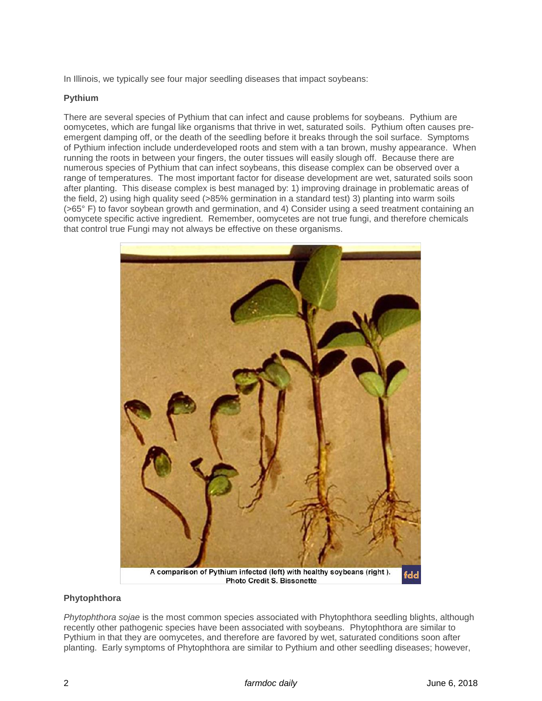In Illinois, we typically see four major seedling diseases that impact soybeans:

## **Pythium**

There are several species of Pythium that can infect and cause problems for soybeans. Pythium are oomycetes, which are fungal like organisms that thrive in wet, saturated soils. Pythium often causes preemergent damping off, or the death of the seedling before it breaks through the soil surface. Symptoms of Pythium infection include underdeveloped roots and stem with a tan brown, mushy appearance. When running the roots in between your fingers, the outer tissues will easily slough off. Because there are numerous species of Pythium that can infect soybeans, this disease complex can be observed over a range of temperatures. The most important factor for disease development are wet, saturated soils soon after planting. This disease complex is best managed by: 1) improving drainage in problematic areas of the field, 2) using high quality seed (>85% germination in a standard test) 3) planting into warm soils (>65° F) to favor soybean growth and germination, and 4) Consider using a seed treatment containing an oomycete specific active ingredient. Remember, oomycetes are not true fungi, and therefore chemicals that control true Fungi may not always be effective on these organisms.



## **Phytophthora**

*Phytophthora sojae* is the most common species associated with Phytophthora seedling blights, although recently other pathogenic species have been associated with soybeans. Phytophthora are similar to Pythium in that they are oomycetes, and therefore are favored by wet, saturated conditions soon after planting. Early symptoms of Phytophthora are similar to Pythium and other seedling diseases; however,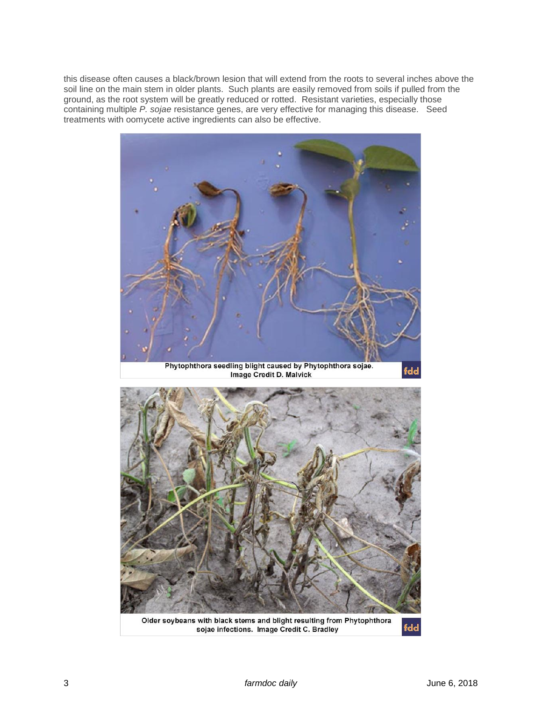this disease often causes a black/brown lesion that will extend from the roots to several inches above the soil line on the main stem in older plants. Such plants are easily removed from soils if pulled from the ground, as the root system will be greatly reduced or rotted. Resistant varieties, especially those containing multiple *P. sojae* resistance genes, are very effective for managing this disease. Seed treatments with oomycete active ingredients can also be effective.